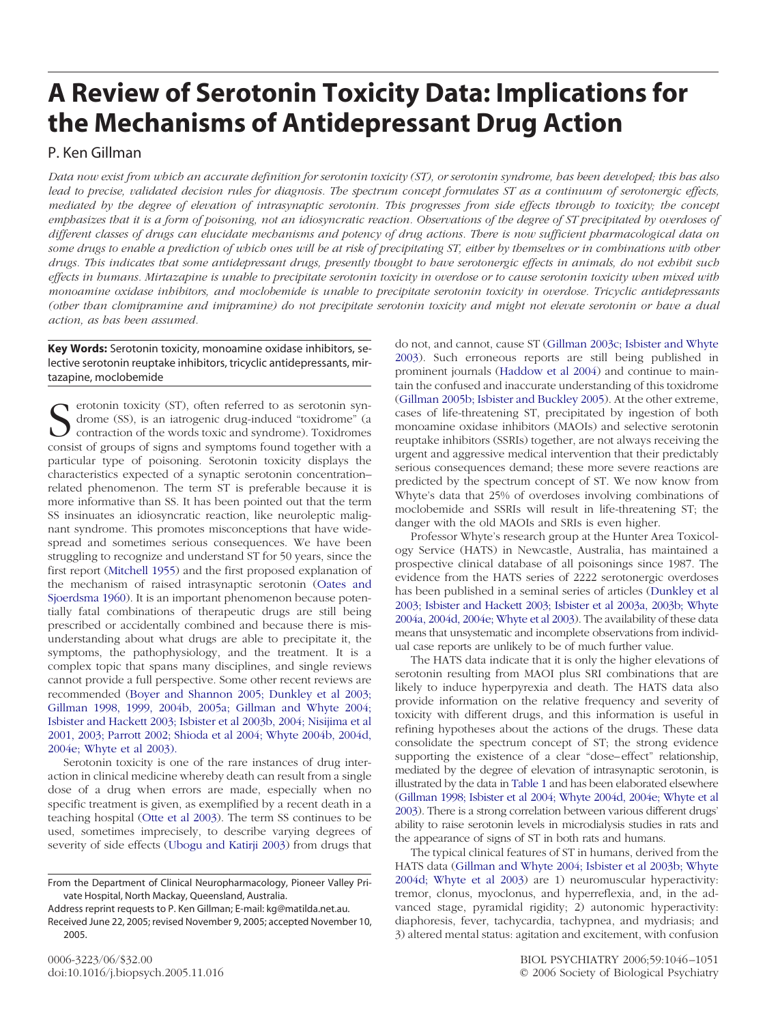# **A Review of Serotonin Toxicity Data: Implications for the Mechanisms of Antidepressant Drug Action**

# P. Ken Gillman

*Data now exist from which an accurate definition for serotonin toxicity (ST), or serotonin syndrome, has been developed; this has also lead to precise, validated decision rules for diagnosis. The spectrum concept formulates ST as a continuum of serotonergic effects, mediated by the degree of elevation of intrasynaptic serotonin. This progresses from side effects through to toxicity; the concept emphasizes that it is a form of poisoning, not an idiosyncratic reaction. Observations of the degree of ST precipitated by overdoses of different classes of drugs can elucidate mechanisms and potency of drug actions. There is now sufficient pharmacological data on some drugs to enable a prediction of which ones will be at risk of precipitating ST, either by themselves or in combinations with other drugs. This indicates that some antidepressant drugs, presently thought to have serotonergic effects in animals, do not exhibit such effects in humans. Mirtazapine is unable to precipitate serotonin toxicity in overdose or to cause serotonin toxicity when mixed with monoamine oxidase inhibitors, and moclobemide is unable to precipitate serotonin toxicity in overdose. Tricyclic antidepressants (other than clomipramine and imipramine) do not precipitate serotonin toxicity and might not elevate serotonin or have a dual action, as has been assumed.*

**Key Words:** Serotonin toxicity, monoamine oxidase inhibitors, selective serotonin reuptake inhibitors, tricyclic antidepressants, mirtazapine, moclobemide

erotonin toxicity (ST), often referred to as serotonin syndrome (SS), is an iatrogenic drug-induced "toxidrome" (a contraction of the words toxic and syndrome). Toxidromes consist of groups of signs and symptoms found together with a particular type of poisoning. Serotonin toxicity displays the characteristics expected of a synaptic serotonin concentration– related phenomenon. The term ST is preferable because it is more informative than SS. It has been pointed out that the term SS insinuates an idiosyncratic reaction, like neuroleptic malignant syndrome. This promotes misconceptions that have widespread and sometimes serious consequences. We have been struggling to recognize and understand ST for 50 years, since the first report [\(Mitchell](#page-5-0) 1955) and the first proposed explanation of the mechanism of raised intrasynaptic serotonin [\(Oates](#page-5-0) and [Sjoerdsma](#page-5-0) 1960). It is an important phenomenon because potentially fatal combinations of therapeutic drugs are still being prescribed or accidentally combined and because there is misunderstanding about what drugs are able to precipitate it, the symptoms, the pathophysiology, and the treatment. It is a complex topic that spans many disciplines, and single reviews cannot provide a full perspective. Some other recent reviews are recommended (Boyer and [Shannon](#page-4-0) 2005; Dunkley et al 2003; [Gillman](#page-4-0) 1998, 1999, 2004b, 2005a; Gillman and Whyte 2004; Isbister and Hackett 2003; Isbister et al 2003b, 2004; [Nisijima](#page-4-0) et al 2001, 2003; Parrott 2002; [Shioda](#page-4-0) et al 2004; Whyte 2004b, 2004d, 2004e; [Whyte](#page-4-0) et al 2003).

Serotonin toxicity is one of the rare instances of drug interaction in clinical medicine whereby death can result from a single dose of a drug when errors are made, especially when no specific treatment is given, as exemplified by a recent death in a teaching hospital (Otte et al [2003\)](#page-5-0). The term SS continues to be used, sometimes imprecisely, to describe varying degrees of severity of side effects [\(Ubogu](#page-5-0) and Katirji 2003) from drugs that

Address reprint requests to P. Ken Gillman; E-mail: kg@matilda.net.au.

Received June 22, 2005; revised November 9, 2005; accepted November 10, 2005.

do not, and cannot, cause ST [\(Gillman](#page-4-0) 2003c; Isbister and Whyte [2003\)](#page-4-0). Such erroneous reports are still being published in prominent journals [\(Haddow](#page-5-0) et al 2004) and continue to maintain the confused and inaccurate understanding of this toxidrome [\(Gillman](#page-5-0) 2005b; Isbister and Buckley 2005). At the other extreme, cases of life-threatening ST, precipitated by ingestion of both monoamine oxidase inhibitors (MAOIs) and selective serotonin reuptake inhibitors (SSRIs) together, are not always receiving the urgent and aggressive medical intervention that their predictably serious consequences demand; these more severe reactions are predicted by the spectrum concept of ST. We now know from Whyte's data that 25% of overdoses involving combinations of moclobemide and SSRIs will result in life-threatening ST; the danger with the old MAOIs and SRIs is even higher.

Professor Whyte's research group at the Hunter Area Toxicology Service (HATS) in Newcastle, Australia, has maintained a prospective clinical database of all poisonings since 1987. The evidence from the HATS series of 2222 serotonergic overdoses has been published in a seminal series of articles [\(Dunkley](#page-4-0) et al 2003; Isbister and [Hackett](#page-4-0) 2003; Isbister et al 2003a, 2003b; Whyte 2004a, [2004d,](#page-4-0) 2004e; Whyte et al 2003). The availability of these data means that unsystematic and incomplete observations from individual case reports are unlikely to be of much further value.

The HATS data indicate that it is only the higher elevations of serotonin resulting from MAOI plus SRI combinations that are likely to induce hyperpyrexia and death. The HATS data also provide information on the relative frequency and severity of toxicity with different drugs, and this information is useful in refining hypotheses about the actions of the drugs. These data consolidate the spectrum concept of ST; the strong evidence supporting the existence of a clear "dose-effect" relationship, mediated by the degree of elevation of intrasynaptic serotonin, is illustrated by the data in [Table](#page-1-0) 1 and has been elaborated elsewhere [\(Gillman](#page-4-0) 1998; Isbister et al 2004; Whyte 2004d, 2004e; Whyte et al [2003\)](#page-4-0). There is a strong correlation between various different drugs' ability to raise serotonin levels in microdialysis studies in rats and the appearance of signs of ST in both rats and humans.

The typical clinical features of ST in humans, derived from the HATS data [\(Gillman](#page-4-0) and Whyte 2004; Isbister et al 2003b; Whyte [2004d;](#page-4-0) Whyte et al 2003) are 1) neuromuscular hyperactivity: tremor, clonus, myoclonus, and hyperreflexia, and, in the advanced stage, pyramidal rigidity; 2) autonomic hyperactivity: diaphoresis, fever, tachycardia, tachypnea, and mydriasis; and 3) altered mental status: agitation and excitement, with confusion

From the Department of Clinical Neuropharmacology, Pioneer Valley Private Hospital, North Mackay, Queensland, Australia.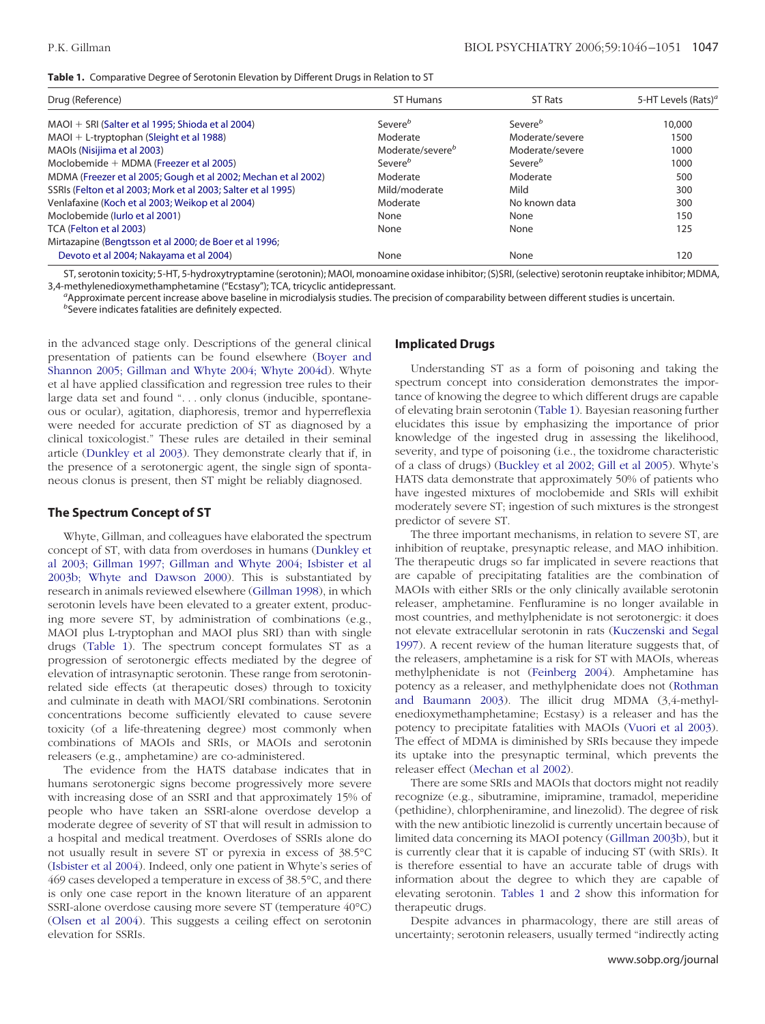<span id="page-1-0"></span>**Table 1.** Comparative Degree of Serotonin Elevation by Different Drugs in Relation to ST

| Drug (Reference)                                               | <b>ST Humans</b>             | <b>ST Rats</b>      | 5-HT Levels (Rats) <sup>a</sup> |
|----------------------------------------------------------------|------------------------------|---------------------|---------------------------------|
| $MAOI + SRI$ (Salter et al 1995; Shioda et al 2004)            | Severe <sup>b</sup>          | Severe <sup>b</sup> | 10,000                          |
| $MAOI + L-tryptophan (Sleigh t et al 1988)$                    | Moderate                     | Moderate/severe     | 1500                            |
| MAOIs (Nisijima et al 2003)                                    | Moderate/severe <sup>b</sup> | Moderate/severe     | 1000                            |
| Moclobemide + MDMA (Freezer et al 2005)                        | Severe <sup>b</sup>          | Severe <sup>b</sup> | 1000                            |
| MDMA (Freezer et al 2005; Gough et al 2002; Mechan et al 2002) | Moderate                     | Moderate            | 500                             |
| SSRIs (Felton et al 2003; Mork et al 2003; Salter et al 1995)  | Mild/moderate                | Mild                | 300                             |
| Venlafaxine (Koch et al 2003; Weikop et al 2004)               | Moderate                     | No known data       | 300                             |
| Moclobemide (lurlo et al 2001)                                 | None                         | None                | 150                             |
| TCA (Felton et al 2003)                                        | None                         | None                | 125                             |
| Mirtazapine (Bengtsson et al 2000; de Boer et al 1996;         |                              |                     |                                 |
| Devoto et al 2004; Nakayama et al 2004)                        | None                         | None                | 120                             |

ST, serotonin toxicity; 5-HT, 5-hydroxytryptamine (serotonin); MAOI, monoamine oxidase inhibitor; (S)SRI, (selective) serotonin reuptake inhibitor; MDMA, 3,4-methylenedioxymethamphetamine ("Ecstasy"); TCA, tricyclic antidepressant. *<sup>a</sup>*

Approximate percent increase above baseline in microdialysis studies. The precision of comparability between different studies is uncertain. *b* Severe indicates fatalities are definitely expected.

<span id="page-1-1"></span>in the advanced stage only. Descriptions of the general clinical presentation of patients can be found elsewhere [\(Boyer](#page-4-0) and [Shannon](#page-4-0) 2005; Gillman and Whyte 2004; Whyte 2004d). Whyte et al have applied classification and regression tree rules to their large data set and found ". . . only clonus (inducible, spontaneous or ocular), agitation, diaphoresis, tremor and hyperreflexia were needed for accurate prediction of ST as diagnosed by a clinical toxicologist." These rules are detailed in their seminal article [\(Dunkley](#page-4-0) et al 2003). They demonstrate clearly that if, in the presence of a serotonergic agent, the single sign of spontaneous clonus is present, then ST might be reliably diagnosed.

### **The Spectrum Concept of ST**

Whyte, Gillman, and colleagues have elaborated the spectrum concept of ST, with data from overdoses in humans [\(Dunkley](#page-4-0) et al 2003; [Gillman](#page-4-0) 1997; Gillman and Whyte 2004; Isbister et al 2003b; Whyte and [Dawson](#page-4-0) 2000). This is substantiated by research in animals reviewed elsewhere [\(Gillman](#page-4-0) 1998), in which serotonin levels have been elevated to a greater extent, producing more severe ST, by administration of combinations (e.g., MAOI plus L-tryptophan and MAOI plus SRI) than with single drugs (Table 1). The spectrum concept formulates ST as a progression of serotonergic effects mediated by the degree of elevation of intrasynaptic serotonin. These range from serotoninrelated side effects (at therapeutic doses) through to toxicity and culminate in death with MAOI/SRI combinations. Serotonin concentrations become sufficiently elevated to cause severe toxicity (of a life-threatening degree) most commonly when combinations of MAOIs and SRIs, or MAOIs and serotonin releasers (e.g., amphetamine) are co-administered.

The evidence from the HATS database indicates that in humans serotonergic signs become progressively more severe with increasing dose of an SSRI and that approximately 15% of people who have taken an SSRI-alone overdose develop a moderate degree of severity of ST that will result in admission to a hospital and medical treatment. Overdoses of SSRIs alone do not usually result in severe ST or pyrexia in excess of 38.5°C [\(Isbister](#page-5-0) et al 2004). Indeed, only one patient in Whyte's series of 469 cases developed a temperature in excess of 38.5°C, and there is only one case report in the known literature of an apparent SSRI-alone overdose causing more severe ST (temperature 40°C) [\(Olsen](#page-5-0) et al 2004). This suggests a ceiling effect on serotonin elevation for SSRIs.

# **Implicated Drugs**

Understanding ST as a form of poisoning and taking the spectrum concept into consideration demonstrates the importance of knowing the degree to which different drugs are capable of elevating brain serotonin (Table 1). Bayesian reasoning further elucidates this issue by emphasizing the importance of prior knowledge of the ingested drug in assessing the likelihood, severity, and type of poisoning (i.e., the toxidrome characteristic of a class of drugs) [\(Buckley](#page-4-0) et al 2002; Gill et al 2005). Whyte's HATS data demonstrate that approximately 50% of patients who have ingested mixtures of moclobemide and SRIs will exhibit moderately severe ST; ingestion of such mixtures is the strongest predictor of severe ST.

The three important mechanisms, in relation to severe ST, are inhibition of reuptake, presynaptic release, and MAO inhibition. The therapeutic drugs so far implicated in severe reactions that are capable of precipitating fatalities are the combination of MAOIs with either SRIs or the only clinically available serotonin releaser, amphetamine. Fenfluramine is no longer available in most countries, and methylphenidate is not serotonergic: it does not elevate extracellular serotonin in rats [\(Kuczenski](#page-5-0) and Segal [1997\)](#page-5-0). A recent review of the human literature suggests that, of the releasers, amphetamine is a risk for ST with MAOIs, whereas methylphenidate is not [\(Feinberg](#page-4-0) 2004). Amphetamine has potency as a releaser, and methylphenidate does not [\(Rothman](#page-5-0) and [Baumann](#page-5-0) 2003). The illicit drug MDMA (3,4-methylenedioxymethamphetamine; Ecstasy) is a releaser and has the potency to precipitate fatalities with MAOIs [\(Vuori](#page-5-0) et al 2003). The effect of MDMA is diminished by SRIs because they impede its uptake into the presynaptic terminal, which prevents the releaser effect [\(Mechan](#page-5-0) et al 2002).

There are some SRIs and MAOIs that doctors might not readily recognize (e.g., sibutramine, imipramine, tramadol, meperidine (pethidine), chlorpheniramine, and linezolid). The degree of risk with the new antibiotic linezolid is currently uncertain because of limited data concerning its MAOI potency [\(Gillman](#page-4-0) 2003b), but it is currently clear that it is capable of inducing ST (with SRIs). It is therefore essential to have an accurate table of drugs with information about the degree to which they are capable of elevating serotonin. Tables 1 and [2](#page-2-0) show this information for therapeutic drugs.

Despite advances in pharmacology, there are still areas of uncertainty; serotonin releasers, usually termed "indirectly acting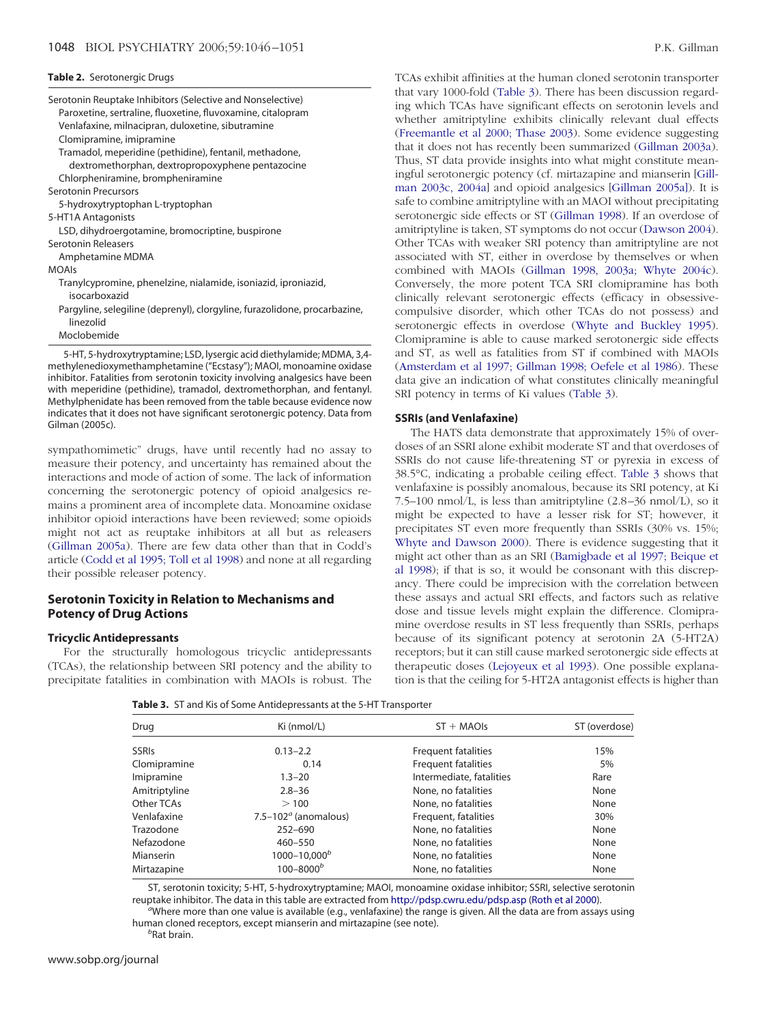#### <span id="page-2-0"></span>**Table 2.** Serotonergic Drugs

| Serotonin Reuptake Inhibitors (Selective and Nonselective)<br>Paroxetine, sertraline, fluoxetine, fluvoxamine, citalopram<br>Venlafaxine, milnacipran, duloxetine, sibutramine<br>Clomipramine, imipramine<br>Tramadol, meperidine (pethidine), fentanil, methadone,<br>dextromethorphan, dextropropoxyphene pentazocine<br>Chlorpheniramine, brompheniramine |
|---------------------------------------------------------------------------------------------------------------------------------------------------------------------------------------------------------------------------------------------------------------------------------------------------------------------------------------------------------------|
| Serotonin Precursors                                                                                                                                                                                                                                                                                                                                          |
| 5-hydroxytryptophan L-tryptophan                                                                                                                                                                                                                                                                                                                              |
| 5-HT1A Antagonists                                                                                                                                                                                                                                                                                                                                            |
| LSD, dihydroergotamine, bromocriptine, buspirone                                                                                                                                                                                                                                                                                                              |
| Serotonin Releasers                                                                                                                                                                                                                                                                                                                                           |
| Amphetamine MDMA                                                                                                                                                                                                                                                                                                                                              |
| <b>MOAIs</b>                                                                                                                                                                                                                                                                                                                                                  |
| Tranylcypromine, phenelzine, nialamide, isoniazid, iproniazid,<br>isocarboxazid                                                                                                                                                                                                                                                                               |
| Pargyline, selegiline (deprenyl), clorgyline, furazolidone, procarbazine,<br>linezolid                                                                                                                                                                                                                                                                        |
| Moclobemide                                                                                                                                                                                                                                                                                                                                                   |
| 5-HT, 5-hydroxytryptamine; LSD, lysergic acid diethylamide; MDMA, 3,4-                                                                                                                                                                                                                                                                                        |

methylenedioxymethamphetamine ("Ecstasy"); MAOI, monoamine oxidase inhibitor. Fatalities from serotonin toxicity involving analgesics have been with meperidine (pethidine), tramadol, dextromethorphan, and fentanyl. Methylphenidate has been removed from the table because evidence now indicates that it does not have significant serotonergic potency. Data from Gilman (2005c).

sympathomimetic" drugs, have until recently had no assay to measure their potency, and uncertainty has remained about the interactions and mode of action of some. The lack of information concerning the serotonergic potency of opioid analgesics remains a prominent area of incomplete data. Monoamine oxidase inhibitor opioid interactions have been reviewed; some opioids might not act as reuptake inhibitors at all but as releasers [\(Gillman](#page-5-0) 2005a). There are few data other than that in Codd's article [\(Codd](#page-4-0) et al 1995; Toll et al 1998) and none at all regarding their possible releaser potency.

# **Serotonin Toxicity in Relation to Mechanisms and Potency of Drug Actions**

#### **Tricyclic Antidepressants**

For the structurally homologous tricyclic antidepressants (TCAs), the relationship between SRI potency and the ability to precipitate fatalities in combination with MAOIs is robust. The TCAs exhibit affinities at the human cloned serotonin transporter that vary 1000-fold (Table 3). There has been discussion regarding which TCAs have significant effects on serotonin levels and whether amitriptyline exhibits clinically relevant dual effects [\(Freemantle](#page-4-0) et al 2000; Thase 2003). Some evidence suggesting that it does not has recently been summarized [\(Gillman](#page-4-0) 2003a). Thus, ST data provide insights into what might constitute meaningful serotonergic potency (cf. mirtazapine and mianserin [\[Gill](#page-4-0)man [2003c,](#page-4-0) 2004a] and opioid analgesics [\[Gillman](#page-5-0) 2005a]). It is safe to combine amitriptyline with an MAOI without precipitating serotonergic side effects or ST [\(Gillman](#page-4-0) 1998). If an overdose of amitriptyline is taken, ST symptoms do not occur [\(Dawson](#page-4-0) 2004). Other TCAs with weaker SRI potency than amitriptyline are not associated with ST, either in overdose by themselves or when combined with MAOIs [\(Gillman](#page-4-0) 1998, 2003a; Whyte 2004c). Conversely, the more potent TCA SRI clomipramine has both clinically relevant serotonergic effects (efficacy in obsessivecompulsive disorder, which other TCAs do not possess) and serotonergic effects in overdose (Whyte and [Buckley](#page-5-0) 1995). Clomipramine is able to cause marked serotonergic side effects and ST, as well as fatalities from ST if combined with MAOIs [\(Amsterdam](#page-4-0) et al 1997; Gillman 1998; Oefele et al 1986). These data give an indication of what constitutes clinically meaningful SRI potency in terms of Ki values (Table 3).

#### **SSRIs (and Venlafaxine)**

The HATS data demonstrate that approximately 15% of overdoses of an SSRI alone exhibit moderate ST and that overdoses of SSRIs do not cause life-threatening ST or pyrexia in excess of 38.5°C, indicating a probable ceiling effect. Table 3 shows that venlafaxine is possibly anomalous, because its SRI potency, at Ki 7.5–100 nmol/L, is less than amitriptyline  $(2.8–36 \text{ nmol/L})$ , so it might be expected to have a lesser risk for ST; however, it precipitates ST even more frequently than SSRIs (30% vs. 15%; Whyte and [Dawson](#page-5-0) 2000). There is evidence suggesting that it might act other than as an SRI [\(Bamigbade](#page-4-0) et al 1997; Beique et al [1998\)](#page-4-0); if that is so, it would be consonant with this discrepancy. There could be imprecision with the correlation between these assays and actual SRI effects, and factors such as relative dose and tissue levels might explain the difference. Clomipramine overdose results in ST less frequently than SSRIs, perhaps because of its significant potency at serotonin 2A (5-HT2A) receptors; but it can still cause marked serotonergic side effects at therapeutic doses [\(Lejoyeux](#page-5-0) et al 1993). One possible explanation is that the ceiling for 5-HT2A antagonist effects is higher than

**Table 3.** ST and Kis of Some Antidepressants at the 5-HT Transporter

| Drug          | Ki (nmol/L)              | $ST + MAOIs$               | ST (overdose) |  |
|---------------|--------------------------|----------------------------|---------------|--|
| <b>SSRIs</b>  | $0.13 - 2.2$             | <b>Frequent fatalities</b> | 15%           |  |
| Clomipramine  | 0.14                     | <b>Frequent fatalities</b> | 5%            |  |
| Imipramine    | $1.3 - 20$               | Intermediate, fatalities   | Rare          |  |
| Amitriptyline | $2.8 - 36$               | None, no fatalities        | None          |  |
| Other TCAs    | >100                     | None, no fatalities        | None          |  |
| Venlafaxine   | 7.5-102 $^a$ (anomalous) | Frequent, fatalities       | 30%           |  |
| Trazodone     | 252-690                  | None, no fatalities        | None          |  |
| Nefazodone    | 460-550                  | None, no fatalities        | None          |  |
| Mianserin     | $1000 - 10,000^b$        | None, no fatalities        | None          |  |
| Mirtazapine   | $100 - 8000^b$           | None, no fatalities        | None          |  |

ST, serotonin toxicity; 5-HT, 5-hydroxytryptamine; MAOI, monoamine oxidase inhibitor; SSRI, selective serotonin reuptake inhibitor. The data in this table are extracted from <http://pdsp.cwru.edu/pdsp.asp> [\(Roth](#page-5-0) et al 2000). *<sup>a</sup>*

Where more than one value is available (e.g., venlafaxine) the range is given. All the data are from assays using human cloned receptors, except mianserin and mirtazapine (see note). *<sup>b</sup>*

 $^b$ Rat brain.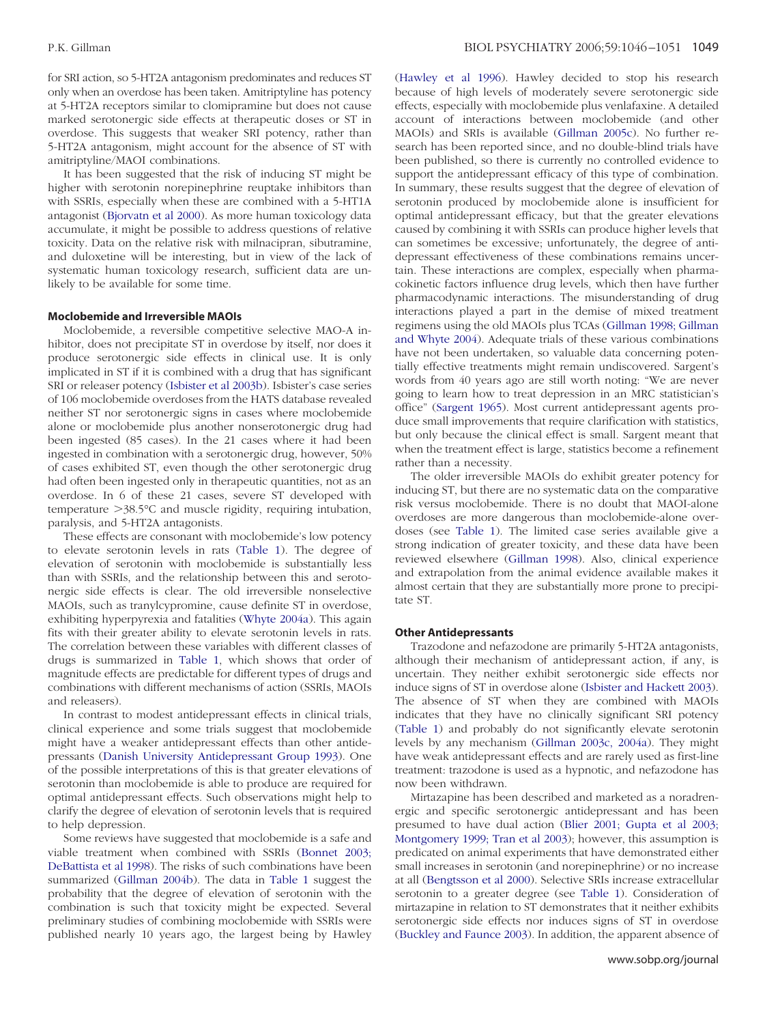for SRI action, so 5-HT2A antagonism predominates and reduces ST only when an overdose has been taken. Amitriptyline has potency at 5-HT2A receptors similar to clomipramine but does not cause marked serotonergic side effects at therapeutic doses or ST in overdose. This suggests that weaker SRI potency, rather than 5-HT2A antagonism, might account for the absence of ST with amitriptyline/MAOI combinations.

It has been suggested that the risk of inducing ST might be higher with serotonin norepinephrine reuptake inhibitors than with SSRIs, especially when these are combined with a 5-HT1A antagonist [\(Bjorvatn](#page-4-0) et al 2000). As more human toxicology data accumulate, it might be possible to address questions of relative toxicity. Data on the relative risk with milnacipran, sibutramine, and duloxetine will be interesting, but in view of the lack of systematic human toxicology research, sufficient data are unlikely to be available for some time.

#### **Moclobemide and Irreversible MAOIs**

Moclobemide, a reversible competitive selective MAO-A inhibitor, does not precipitate ST in overdose by itself, nor does it produce serotonergic side effects in clinical use. It is only implicated in ST if it is combined with a drug that has significant SRI or releaser potency [\(Isbister](#page-5-0) et al 2003b). Isbister's case series of 106 moclobemide overdoses from the HATS database revealed neither ST nor serotonergic signs in cases where moclobemide alone or moclobemide plus another nonserotonergic drug had been ingested (85 cases). In the 21 cases where it had been ingested in combination with a serotonergic drug, however, 50% of cases exhibited ST, even though the other serotonergic drug had often been ingested only in therapeutic quantities, not as an overdose. In 6 of these 21 cases, severe ST developed with temperature -38.5°C and muscle rigidity, requiring intubation, paralysis, and 5-HT2A antagonists.

These effects are consonant with moclobemide's low potency to elevate serotonin levels in rats [\(Table](#page-1-0) 1). The degree of elevation of serotonin with moclobemide is substantially less than with SSRIs, and the relationship between this and serotonergic side effects is clear. The old irreversible nonselective MAOIs, such as tranylcypromine, cause definite ST in overdose, exhibiting hyperpyrexia and fatalities [\(Whyte](#page-5-0) 2004a). This again fits with their greater ability to elevate serotonin levels in rats. The correlation between these variables with different classes of drugs is summarized in [Table](#page-1-0) 1, which shows that order of magnitude effects are predictable for different types of drugs and combinations with different mechanisms of action (SSRIs, MAOIs and releasers).

In contrast to modest antidepressant effects in clinical trials, clinical experience and some trials suggest that moclobemide might have a weaker antidepressant effects than other antidepressants (Danish University [Antidepressant](#page-4-0) Group 1993). One of the possible interpretations of this is that greater elevations of serotonin than moclobemide is able to produce are required for optimal antidepressant effects. Such observations might help to clarify the degree of elevation of serotonin levels that is required to help depression.

Some reviews have suggested that moclobemide is a safe and viable treatment when combined with SSRIs [\(Bonnet](#page-4-0) 2003; [DeBattista](#page-4-0) et al 1998). The risks of such combinations have been summarized [\(Gillman](#page-4-0) 2004b). The data in [Table](#page-1-1) 1 suggest the probability that the degree of elevation of serotonin with the combination is such that toxicity might be expected. Several preliminary studies of combining moclobemide with SSRIs were published nearly 10 years ago, the largest being by Hawley

[\(Hawley](#page-5-0) et al 1996). Hawley decided to stop his research because of high levels of moderately severe serotonergic side effects, especially with moclobemide plus venlafaxine. A detailed account of interactions between moclobemide (and other MAOIs) and SRIs is available [\(Gillman](#page-5-0) 2005c). No further research has been reported since, and no double-blind trials have been published, so there is currently no controlled evidence to support the antidepressant efficacy of this type of combination. In summary, these results suggest that the degree of elevation of serotonin produced by moclobemide alone is insufficient for optimal antidepressant efficacy, but that the greater elevations caused by combining it with SSRIs can produce higher levels that can sometimes be excessive; unfortunately, the degree of antidepressant effectiveness of these combinations remains uncertain. These interactions are complex, especially when pharmacokinetic factors influence drug levels, which then have further pharmacodynamic interactions. The misunderstanding of drug interactions played a part in the demise of mixed treatment regimens using the old MAOIs plus TCAs [\(Gillman](#page-4-0) 1998; Gillman and [Whyte](#page-4-0) 2004). Adequate trials of these various combinations have not been undertaken, so valuable data concerning potentially effective treatments might remain undiscovered. Sargent's words from 40 years ago are still worth noting: "We are never going to learn how to treat depression in an MRC statistician's office" [\(Sargent](#page-5-0) 1965). Most current antidepressant agents produce small improvements that require clarification with statistics, but only because the clinical effect is small. Sargent meant that when the treatment effect is large, statistics become a refinement rather than a necessity.

The older irreversible MAOIs do exhibit greater potency for inducing ST, but there are no systematic data on the comparative risk versus moclobemide. There is no doubt that MAOI-alone overdoses are more dangerous than moclobemide-alone overdoses (see [Table](#page-1-0) 1). The limited case series available give a strong indication of greater toxicity, and these data have been reviewed elsewhere [\(Gillman](#page-4-0) 1998). Also, clinical experience and extrapolation from the animal evidence available makes it almost certain that they are substantially more prone to precipitate ST.

#### **Other Antidepressants**

Trazodone and nefazodone are primarily 5-HT2A antagonists, although their mechanism of antidepressant action, if any, is uncertain. They neither exhibit serotonergic side effects nor induce signs of ST in overdose alone (Isbister and [Hackett](#page-5-0) 2003). The absence of ST when they are combined with MAOIs indicates that they have no clinically significant SRI potency [\(Table](#page-1-0) 1) and probably do not significantly elevate serotonin levels by any mechanism [\(Gillman](#page-4-0) 2003c, 2004a). They might have weak antidepressant effects and are rarely used as first-line treatment: trazodone is used as a hypnotic, and nefazodone has now been withdrawn.

Mirtazapine has been described and marketed as a noradrenergic and specific serotonergic antidepressant and has been presumed to have dual action (Blier 2001; [Gupta](#page-4-0) et al 2003; [Montgomery](#page-4-0) 1999; Tran et al 2003); however, this assumption is predicated on animal experiments that have demonstrated either small increases in serotonin (and norepinephrine) or no increase at all [\(Bengtsson](#page-4-0) et al 2000). Selective SRIs increase extracellular serotonin to a greater degree (see [Table](#page-1-0) 1). Consideration of mirtazapine in relation to ST demonstrates that it neither exhibits serotonergic side effects nor induces signs of ST in overdose [\(Buckley](#page-4-0) and Faunce 2003). In addition, the apparent absence of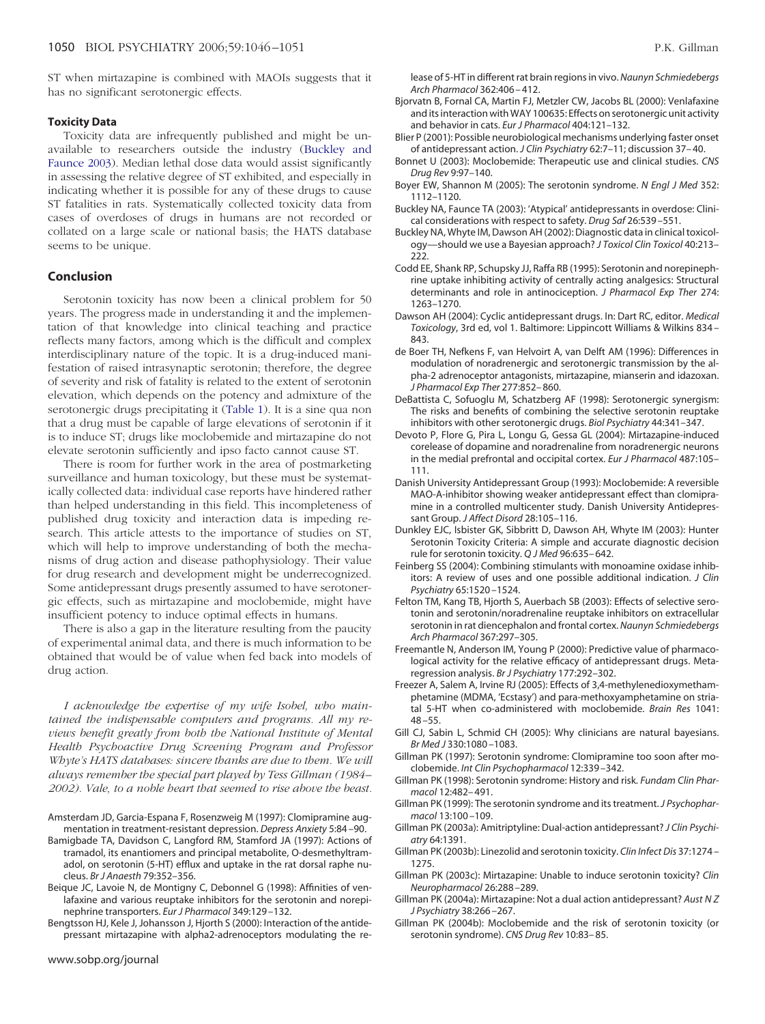<span id="page-4-0"></span>ST when mirtazapine is combined with MAOIs suggests that it has no significant serotonergic effects.

#### **Toxicity Data**

Toxicity data are infrequently published and might be unavailable to researchers outside the industry (Buckley and Faunce 2003). Median lethal dose data would assist significantly in assessing the relative degree of ST exhibited, and especially in indicating whether it is possible for any of these drugs to cause ST fatalities in rats. Systematically collected toxicity data from cases of overdoses of drugs in humans are not recorded or collated on a large scale or national basis; the HATS database seems to be unique.

## **Conclusion**

Serotonin toxicity has now been a clinical problem for 50 years. The progress made in understanding it and the implementation of that knowledge into clinical teaching and practice reflects many factors, among which is the difficult and complex interdisciplinary nature of the topic. It is a drug-induced manifestation of raised intrasynaptic serotonin; therefore, the degree of severity and risk of fatality is related to the extent of serotonin elevation, which depends on the potency and admixture of the serotonergic drugs precipitating it ([Table](#page-1-0) 1). It is a sine qua non that a drug must be capable of large elevations of serotonin if it is to induce ST; drugs like moclobemide and mirtazapine do not elevate serotonin sufficiently and ipso facto cannot cause ST.

There is room for further work in the area of postmarketing surveillance and human toxicology, but these must be systematically collected data: individual case reports have hindered rather than helped understanding in this field. This incompleteness of published drug toxicity and interaction data is impeding research. This article attests to the importance of studies on ST, which will help to improve understanding of both the mechanisms of drug action and disease pathophysiology. Their value for drug research and development might be underrecognized. Some antidepressant drugs presently assumed to have serotonergic effects, such as mirtazapine and moclobemide, might have insufficient potency to induce optimal effects in humans.

There is also a gap in the literature resulting from the paucity of experimental animal data, and there is much information to be obtained that would be of value when fed back into models of drug action.

*I acknowledge the expertise of my wife Isobel, who maintained the indispensable computers and programs. All my reviews benefit greatly from both the National Institute of Mental Health Psychoactive Drug Screening Program and Professor Whyte's HATS databases: sincere thanks are due to them. We will always remember the special part played by Tess Gillman (1984 – 2002). Vale, to a noble heart that seemed to rise above the beast.*

- Amsterdam JD, Garcia-Espana F, Rosenzweig M (1997): Clomipramine augmentation in treatment-resistant depression. *Depress Anxiety* 5:84 –90.
- Bamigbade TA, Davidson C, Langford RM, Stamford JA (1997): Actions of tramadol, its enantiomers and principal metabolite, O-desmethyltramadol, on serotonin (5-HT) efflux and uptake in the rat dorsal raphe nucleus. *Br J Anaesth* 79:352–356.
- Beique JC, Lavoie N, de Montigny C, Debonnel G (1998): Affinities of venlafaxine and various reuptake inhibitors for the serotonin and norepinephrine transporters. *Eur J Pharmacol* 349:129 –132.
- Bengtsson HJ, Kele J, Johansson J, Hjorth S (2000): Interaction of the antidepressant mirtazapine with alpha2-adrenoceptors modulating the re-

lease of 5-HT in different rat brain regions in vivo.*Naunyn Schmiedebergs Arch Pharmacol* 362:406 – 412.

- Bjorvatn B, Fornal CA, Martin FJ, Metzler CW, Jacobs BL (2000): Venlafaxine and its interaction with WAY 100635: Effects on serotonergic unit activity and behavior in cats. *Eur J Pharmacol* 404:121–132.
- Blier P (2001): Possible neurobiological mechanisms underlying faster onset of antidepressant action. *J Clin Psychiatry* 62:7–11; discussion 37– 40.
- Bonnet U (2003): Moclobemide: Therapeutic use and clinical studies. *CNS Drug Rev* 9:97–140.
- Boyer EW, Shannon M (2005): The serotonin syndrome. *N Engl J Med* 352: 1112–1120.
- Buckley NA, Faunce TA (2003): 'Atypical' antidepressants in overdose: Clinical considerations with respect to safety. *Drug Saf* 26:539 –551.
- Buckley NA, Whyte IM, Dawson AH (2002): Diagnostic data in clinical toxicology—should we use a Bayesian approach? *J Toxicol Clin Toxicol* 40:213– 222.
- Codd EE, Shank RP, Schupsky JJ, Raffa RB (1995): Serotonin and norepinephrine uptake inhibiting activity of centrally acting analgesics: Structural determinants and role in antinociception. *J Pharmacol Exp Ther* 274: 1263–1270.
- Dawson AH (2004): Cyclic antidepressant drugs. In: Dart RC, editor. *Medical Toxicology*, 3rd ed, vol 1. Baltimore: Lippincott Williams & Wilkins 834 – 843.
- de Boer TH, Nefkens F, van Helvoirt A, van Delft AM (1996): Differences in modulation of noradrenergic and serotonergic transmission by the alpha-2 adrenoceptor antagonists, mirtazapine, mianserin and idazoxan. *J Pharmacol Exp Ther* 277:852– 860.
- DeBattista C, Sofuoglu M, Schatzberg AF (1998): Serotonergic synergism: The risks and benefits of combining the selective serotonin reuptake inhibitors with other serotonergic drugs. *Biol Psychiatry* 44:341–347.
- Devoto P, Flore G, Pira L, Longu G, Gessa GL (2004): Mirtazapine-induced corelease of dopamine and noradrenaline from noradrenergic neurons in the medial prefrontal and occipital cortex. *Eur J Pharmacol* 487:105– 111.
- Danish University Antidepressant Group (1993): Moclobemide: A reversible MAO-A-inhibitor showing weaker antidepressant effect than clomipramine in a controlled multicenter study. Danish University Antidepressant Group. *J Affect Disord* 28:105–116.
- Dunkley EJC, Isbister GK, Sibbritt D, Dawson AH, Whyte IM (2003): Hunter Serotonin Toxicity Criteria: A simple and accurate diagnostic decision rule for serotonin toxicity. *Q J Med* 96:635– 642.
- Feinberg SS (2004): Combining stimulants with monoamine oxidase inhibitors: A review of uses and one possible additional indication. *J Clin Psychiatry* 65:1520 –1524.
- Felton TM, Kang TB, Hjorth S, Auerbach SB (2003): Effects of selective serotonin and serotonin/noradrenaline reuptake inhibitors on extracellular serotonin in rat diencephalon and frontal cortex. *Naunyn Schmiedebergs Arch Pharmacol* 367:297–305.
- Freemantle N, Anderson IM, Young P (2000): Predictive value of pharmacological activity for the relative efficacy of antidepressant drugs. Metaregression analysis. *Br J Psychiatry* 177:292–302.
- Freezer A, Salem A, Irvine RJ (2005): Effects of 3,4-methylenedioxymethamphetamine (MDMA, 'Ecstasy') and para-methoxyamphetamine on striatal 5-HT when co-administered with moclobemide. *Brain Res* 1041: 48 –55.
- Gill CJ, Sabin L, Schmid CH (2005): Why clinicians are natural bayesians. *Br Med J* 330:1080 –1083.
- Gillman PK (1997): Serotonin syndrome: Clomipramine too soon after moclobemide. *Int Clin Psychopharmacol* 12:339 –342.
- Gillman PK (1998): Serotonin syndrome: History and risk. *Fundam Clin Pharmacol* 12:482– 491.
- Gillman PK (1999): The serotonin syndrome and its treatment.*J Psychopharmacol* 13:100 –109.
- Gillman PK (2003a): Amitriptyline: Dual-action antidepressant? *J Clin Psychiatry* 64:1391.
- Gillman PK (2003b): Linezolid and serotonin toxicity. *Clin Infect Dis* 37:1274 1275.
- Gillman PK (2003c): Mirtazapine: Unable to induce serotonin toxicity? *Clin Neuropharmacol* 26:288 –289.
- Gillman PK (2004a): Mirtazapine: Not a dual action antidepressant? *Aust N Z J Psychiatry* 38:266 –267.
- Gillman PK (2004b): Moclobemide and the risk of serotonin toxicity (or serotonin syndrome). *CNS Drug Rev* 10:83– 85.